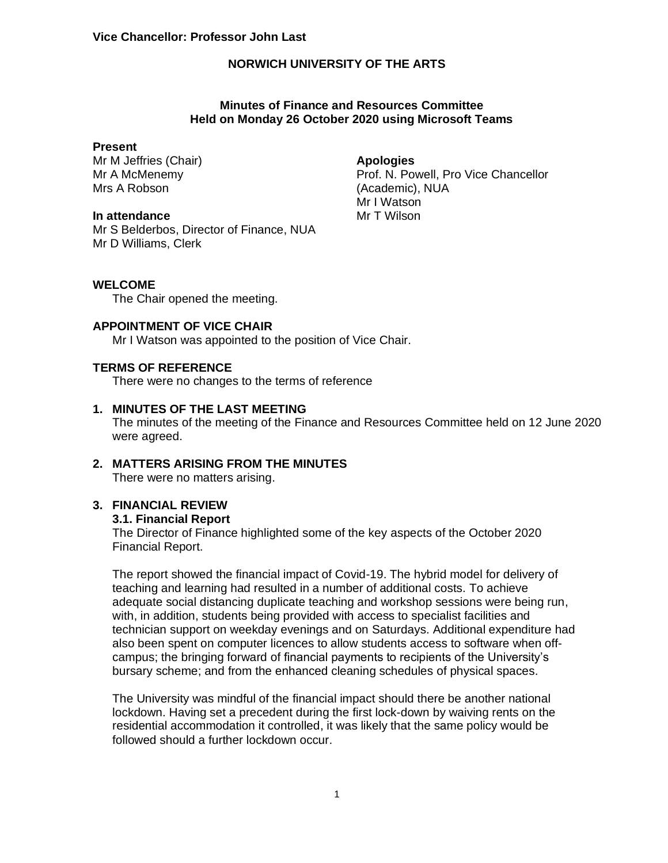## **Minutes of Finance and Resources Committee Held on Monday 26 October 2020 using Microsoft Teams**

#### **Present**

Mr M Jeffries (Chair) Mr A McMenemy Mrs A Robson

#### **In attendance**

Mr S Belderbos, Director of Finance, NUA Mr D Williams, Clerk

## **Apologies**

Prof. N. Powell, Pro Vice Chancellor (Academic), NUA Mr I Watson Mr T Wilson

#### **WELCOME**

The Chair opened the meeting.

#### **APPOINTMENT OF VICE CHAIR**

Mr I Watson was appointed to the position of Vice Chair.

## **TERMS OF REFERENCE**

There were no changes to the terms of reference

## **1. MINUTES OF THE LAST MEETING**

The minutes of the meeting of the Finance and Resources Committee held on 12 June 2020 were agreed.

#### **2. MATTERS ARISING FROM THE MINUTES** There were no matters arising.

# **3. FINANCIAL REVIEW**

#### **3.1. Financial Report**

The Director of Finance highlighted some of the key aspects of the October 2020 Financial Report.

The report showed the financial impact of Covid-19. The hybrid model for delivery of teaching and learning had resulted in a number of additional costs. To achieve adequate social distancing duplicate teaching and workshop sessions were being run, with, in addition, students being provided with access to specialist facilities and technician support on weekday evenings and on Saturdays. Additional expenditure had also been spent on computer licences to allow students access to software when offcampus; the bringing forward of financial payments to recipients of the University's bursary scheme; and from the enhanced cleaning schedules of physical spaces.

The University was mindful of the financial impact should there be another national lockdown. Having set a precedent during the first lock-down by waiving rents on the residential accommodation it controlled, it was likely that the same policy would be followed should a further lockdown occur.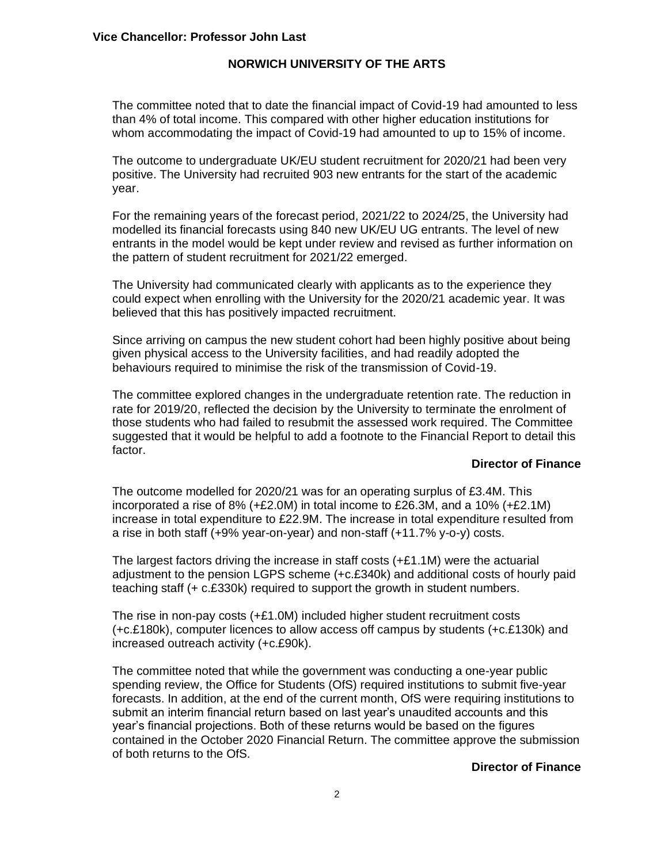The committee noted that to date the financial impact of Covid-19 had amounted to less than 4% of total income. This compared with other higher education institutions for whom accommodating the impact of Covid-19 had amounted to up to 15% of income.

The outcome to undergraduate UK/EU student recruitment for 2020/21 had been very positive. The University had recruited 903 new entrants for the start of the academic year.

For the remaining years of the forecast period, 2021/22 to 2024/25, the University had modelled its financial forecasts using 840 new UK/EU UG entrants. The level of new entrants in the model would be kept under review and revised as further information on the pattern of student recruitment for 2021/22 emerged.

The University had communicated clearly with applicants as to the experience they could expect when enrolling with the University for the 2020/21 academic year. It was believed that this has positively impacted recruitment.

Since arriving on campus the new student cohort had been highly positive about being given physical access to the University facilities, and had readily adopted the behaviours required to minimise the risk of the transmission of Covid-19.

The committee explored changes in the undergraduate retention rate. The reduction in rate for 2019/20, reflected the decision by the University to terminate the enrolment of those students who had failed to resubmit the assessed work required. The Committee suggested that it would be helpful to add a footnote to the Financial Report to detail this factor.

#### **Director of Finance**

The outcome modelled for 2020/21 was for an operating surplus of £3.4M. This incorporated a rise of 8% ( $+£2.0M$ ) in total income to £26.3M, and a 10% ( $+£2.1M$ ) increase in total expenditure to £22.9M. The increase in total expenditure resulted from a rise in both staff (+9% year-on-year) and non-staff (+11.7% y-o-y) costs.

The largest factors driving the increase in staff costs  $(+£1.1M)$  were the actuarial adjustment to the pension LGPS scheme (+c.£340k) and additional costs of hourly paid teaching staff (+ c.£330k) required to support the growth in student numbers.

The rise in non-pay costs (+£1.0M) included higher student recruitment costs (+c.£180k), computer licences to allow access off campus by students (+c.£130k) and increased outreach activity (+c.£90k).

The committee noted that while the government was conducting a one-year public spending review, the Office for Students (OfS) required institutions to submit five-year forecasts. In addition, at the end of the current month, OfS were requiring institutions to submit an interim financial return based on last year's unaudited accounts and this year's financial projections. Both of these returns would be based on the figures contained in the October 2020 Financial Return. The committee approve the submission of both returns to the OfS.

# **Director of Finance**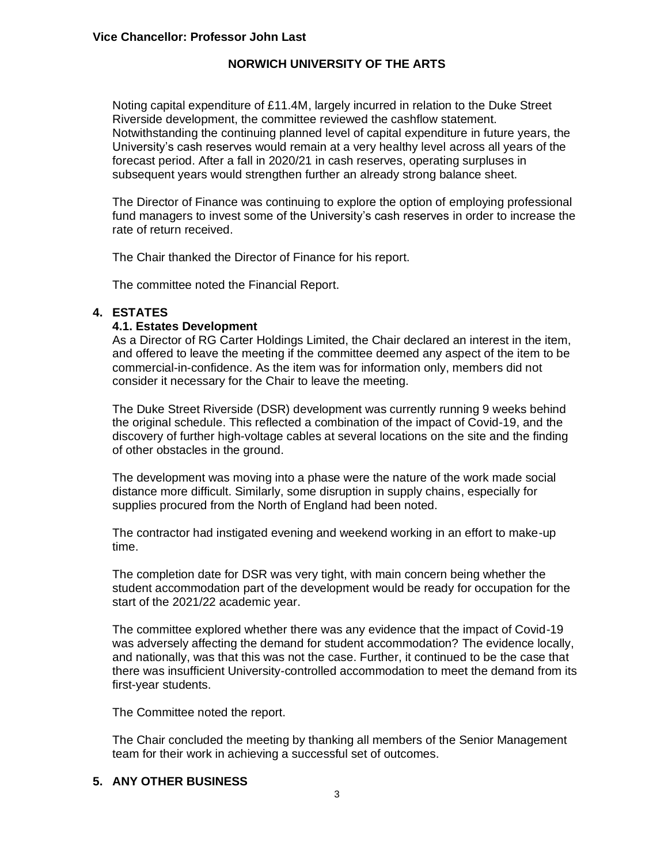Noting capital expenditure of £11.4M, largely incurred in relation to the Duke Street Riverside development, the committee reviewed the cashflow statement. Notwithstanding the continuing planned level of capital expenditure in future years, the University's cash reserves would remain at a very healthy level across all years of the forecast period. After a fall in 2020/21 in cash reserves, operating surpluses in subsequent years would strengthen further an already strong balance sheet.

The Director of Finance was continuing to explore the option of employing professional fund managers to invest some of the University's cash reserves in order to increase the rate of return received.

The Chair thanked the Director of Finance for his report.

The committee noted the Financial Report.

# **4. ESTATES**

## **4.1. Estates Development**

As a Director of RG Carter Holdings Limited, the Chair declared an interest in the item, and offered to leave the meeting if the committee deemed any aspect of the item to be commercial-in-confidence. As the item was for information only, members did not consider it necessary for the Chair to leave the meeting.

The Duke Street Riverside (DSR) development was currently running 9 weeks behind the original schedule. This reflected a combination of the impact of Covid-19, and the discovery of further high-voltage cables at several locations on the site and the finding of other obstacles in the ground.

The development was moving into a phase were the nature of the work made social distance more difficult. Similarly, some disruption in supply chains, especially for supplies procured from the North of England had been noted.

The contractor had instigated evening and weekend working in an effort to make-up time.

The completion date for DSR was very tight, with main concern being whether the student accommodation part of the development would be ready for occupation for the start of the 2021/22 academic year.

The committee explored whether there was any evidence that the impact of Covid-19 was adversely affecting the demand for student accommodation? The evidence locally, and nationally, was that this was not the case. Further, it continued to be the case that there was insufficient University-controlled accommodation to meet the demand from its first-year students.

The Committee noted the report.

The Chair concluded the meeting by thanking all members of the Senior Management team for their work in achieving a successful set of outcomes.

# **5. ANY OTHER BUSINESS**